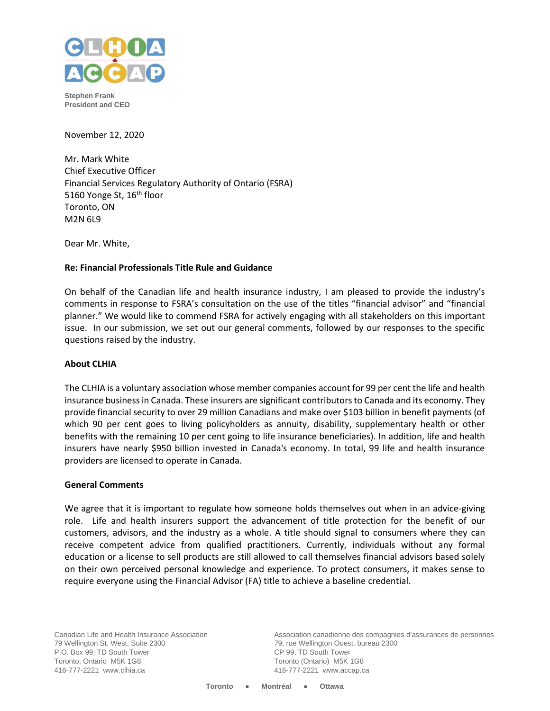

**Stephen Frank President and CEO**

November 12, 2020

Mr. Mark White Chief Executive Officer Financial Services Regulatory Authority of Ontario (FSRA) 5160 Yonge St, 16<sup>th</sup> floor Toronto, ON M2N 6L9

Dear Mr. White,

## **Re: Financial Professionals Title Rule and Guidance**

On behalf of the Canadian life and health insurance industry, I am pleased to provide the industry's comments in response to FSRA's consultation on the use of the titles "financial advisor" and "financial planner." We would like to commend FSRA for actively engaging with all stakeholders on this important issue. In our submission, we set out our general comments, followed by our responses to the specific questions raised by the industry.

#### **About CLHIA**

The CLHIA is a voluntary association whose member companies account for 99 per cent the life and health insurance business in Canada. These insurers are significant contributors to Canada and its economy. They provide financial security to over 29 million Canadians and make over \$103 billion in benefit payments (of which 90 per cent goes to living policyholders as annuity, disability, supplementary health or other benefits with the remaining 10 per cent going to life insurance beneficiaries). In addition, life and health insurers have nearly \$950 billion invested in Canada's economy. In total, 99 life and health insurance providers are licensed to operate in Canada.

#### **General Comments**

We agree that it is important to regulate how someone holds themselves out when in an advice-giving role. Life and health insurers support the advancement of title protection for the benefit of our customers, advisors, and the industry as a whole. A title should signal to consumers where they can receive competent advice from qualified practitioners. Currently, individuals without any formal education or a license to sell products are still allowed to call themselves financial advisors based solely on their own perceived personal knowledge and experience. To protect consumers, it makes sense to require everyone using the Financial Advisor (FA) title to achieve a baseline credential.

Canadian Life and Health Insurance Association 79 Wellington St. West, Suite 2300 P.O. Box 99, TD South Tower Toronto, Ontario M5K 1G8 416-777-2221 www.clhia.ca

Association canadienne des compagnies d'assurances de personnes 79, rue Wellington Ouest, bureau 2300 CP 99, TD South Tower Toronto (Ontario) M5K 1G8 416-777-2221 www.accap.ca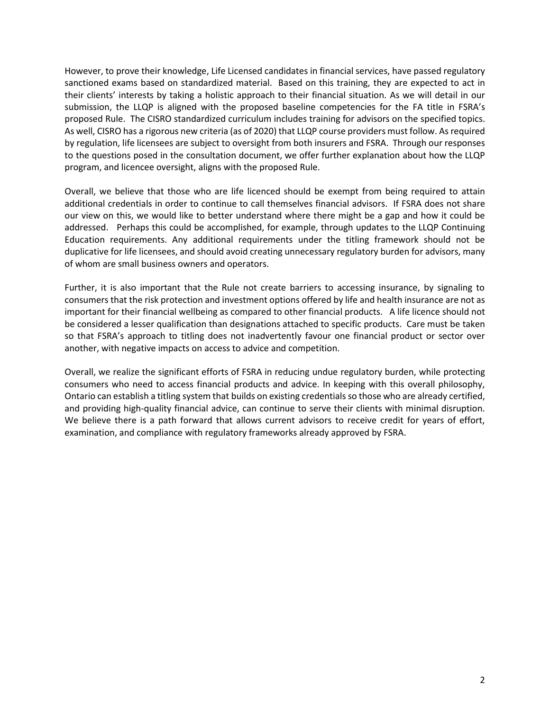However, to prove their knowledge, Life Licensed candidates in financial services, have passed regulatory sanctioned exams based on standardized material. Based on this training, they are expected to act in their clients' interests by taking a holistic approach to their financial situation. As we will detail in our submission, the LLQP is aligned with the proposed baseline competencies for the FA title in FSRA's proposed Rule. The CISRO standardized curriculum includes training for advisors on the specified topics. As well, CISRO has a rigorous new criteria (as of 2020) that LLQP course providers must follow. As required by regulation, life licensees are subject to oversight from both insurers and FSRA. Through our responses to the questions posed in the consultation document, we offer further explanation about how the LLQP program, and licencee oversight, aligns with the proposed Rule.

Overall, we believe that those who are life licenced should be exempt from being required to attain additional credentials in order to continue to call themselves financial advisors. If FSRA does not share our view on this, we would like to better understand where there might be a gap and how it could be addressed. Perhaps this could be accomplished, for example, through updates to the LLQP Continuing Education requirements. Any additional requirements under the titling framework should not be duplicative for life licensees, and should avoid creating unnecessary regulatory burden for advisors, many of whom are small business owners and operators.

Further, it is also important that the Rule not create barriers to accessing insurance, by signaling to consumers that the risk protection and investment options offered by life and health insurance are not as important for their financial wellbeing as compared to other financial products. A life licence should not be considered a lesser qualification than designations attached to specific products. Care must be taken so that FSRA's approach to titling does not inadvertently favour one financial product or sector over another, with negative impacts on access to advice and competition.

Overall, we realize the significant efforts of FSRA in reducing undue regulatory burden, while protecting consumers who need to access financial products and advice. In keeping with this overall philosophy, Ontario can establish a titling system that builds on existing credentials so those who are already certified, and providing high-quality financial advice, can continue to serve their clients with minimal disruption. We believe there is a path forward that allows current advisors to receive credit for years of effort, examination, and compliance with regulatory frameworks already approved by FSRA.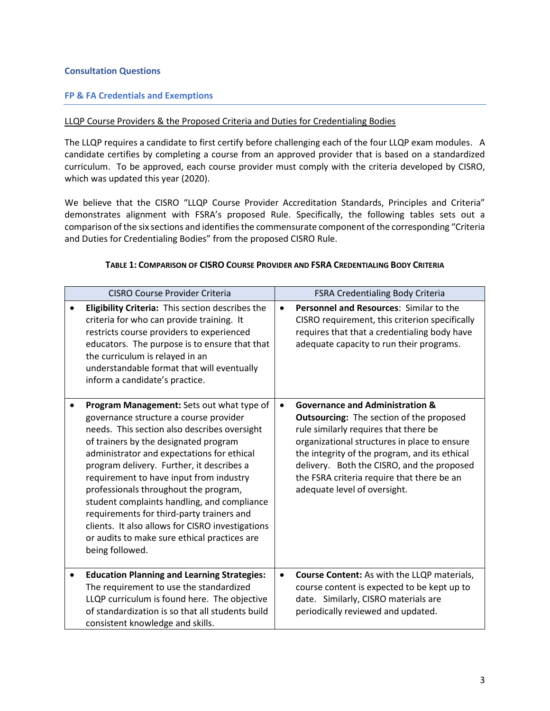## **Consultation Questions**

## **FP & FA Credentials and Exemptions**

#### LLQP Course Providers & the Proposed Criteria and Duties for Credentialing Bodies

The LLQP requires a candidate to first certify before challenging each of the four LLQP exam modules. A candidate certifies by completing a course from an approved provider that is based on a standardized curriculum. To be approved, each course provider must comply with the criteria developed by CISRO, which was updated this year (2020).

We believe that the CISRO "LLQP Course Provider Accreditation Standards, Principles and Criteria" demonstrates alignment with FSRA's proposed Rule. Specifically, the following tables sets out a comparison of the six sections and identifies the commensurate component of the corresponding "Criteria and Duties for Credentialing Bodies" from the proposed CISRO Rule.

#### **TABLE 1: COMPARISON OF CISRO COURSE PROVIDER AND FSRA CREDENTIALING BODY CRITERIA**

| <b>CISRO Course Provider Criteria</b>                                                                                                                                                                                                                                                                                                                                                                                                                                                                                                                                          | FSRA Credentialing Body Criteria                                                                                                                                                                                                                                                                                                                                    |  |
|--------------------------------------------------------------------------------------------------------------------------------------------------------------------------------------------------------------------------------------------------------------------------------------------------------------------------------------------------------------------------------------------------------------------------------------------------------------------------------------------------------------------------------------------------------------------------------|---------------------------------------------------------------------------------------------------------------------------------------------------------------------------------------------------------------------------------------------------------------------------------------------------------------------------------------------------------------------|--|
| Eligibility Criteria: This section describes the<br>criteria for who can provide training. It<br>restricts course providers to experienced<br>educators. The purpose is to ensure that that<br>the curriculum is relayed in an<br>understandable format that will eventually<br>inform a candidate's practice.                                                                                                                                                                                                                                                                 | Personnel and Resources: Similar to the<br>$\bullet$<br>CISRO requirement, this criterion specifically<br>requires that that a credentialing body have<br>adequate capacity to run their programs.                                                                                                                                                                  |  |
| Program Management: Sets out what type of<br>governance structure a course provider<br>needs. This section also describes oversight<br>of trainers by the designated program<br>administrator and expectations for ethical<br>program delivery. Further, it describes a<br>requirement to have input from industry<br>professionals throughout the program,<br>student complaints handling, and compliance<br>requirements for third-party trainers and<br>clients. It also allows for CISRO investigations<br>or audits to make sure ethical practices are<br>being followed. | <b>Governance and Administration &amp;</b><br><b>Outsourcing:</b> The section of the proposed<br>rule similarly requires that there be<br>organizational structures in place to ensure<br>the integrity of the program, and its ethical<br>delivery. Both the CISRO, and the proposed<br>the FSRA criteria require that there be an<br>adequate level of oversight. |  |
| <b>Education Planning and Learning Strategies:</b><br>٠<br>The requirement to use the standardized<br>LLQP curriculum is found here. The objective<br>of standardization is so that all students build<br>consistent knowledge and skills.                                                                                                                                                                                                                                                                                                                                     | <b>Course Content:</b> As with the LLQP materials,<br>$\bullet$<br>course content is expected to be kept up to<br>date. Similarly, CISRO materials are<br>periodically reviewed and updated.                                                                                                                                                                        |  |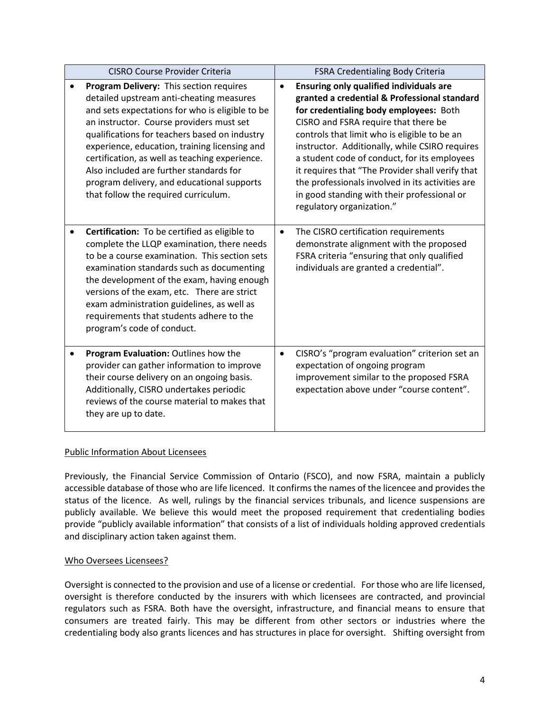| <b>CISRO Course Provider Criteria</b> |                                                                                                                                                                                                                                                                                                                                                                                                                                                                         | <b>FSRA Credentialing Body Criteria</b> |                                                                                                                                                                                                                                                                                                                                                                                                                                                                                                                        |
|---------------------------------------|-------------------------------------------------------------------------------------------------------------------------------------------------------------------------------------------------------------------------------------------------------------------------------------------------------------------------------------------------------------------------------------------------------------------------------------------------------------------------|-----------------------------------------|------------------------------------------------------------------------------------------------------------------------------------------------------------------------------------------------------------------------------------------------------------------------------------------------------------------------------------------------------------------------------------------------------------------------------------------------------------------------------------------------------------------------|
|                                       | Program Delivery: This section requires<br>detailed upstream anti-cheating measures<br>and sets expectations for who is eligible to be<br>an instructor. Course providers must set<br>qualifications for teachers based on industry<br>experience, education, training licensing and<br>certification, as well as teaching experience.<br>Also included are further standards for<br>program delivery, and educational supports<br>that follow the required curriculum. | $\bullet$                               | <b>Ensuring only qualified individuals are</b><br>granted a credential & Professional standard<br>for credentialing body employees: Both<br>CISRO and FSRA require that there be<br>controls that limit who is eligible to be an<br>instructor. Additionally, while CSIRO requires<br>a student code of conduct, for its employees<br>it requires that "The Provider shall verify that<br>the professionals involved in its activities are<br>in good standing with their professional or<br>regulatory organization." |
|                                       | Certification: To be certified as eligible to<br>complete the LLQP examination, there needs<br>to be a course examination. This section sets<br>examination standards such as documenting<br>the development of the exam, having enough<br>versions of the exam, etc. There are strict<br>exam administration guidelines, as well as<br>requirements that students adhere to the<br>program's code of conduct.                                                          | $\bullet$                               | The CISRO certification requirements<br>demonstrate alignment with the proposed<br>FSRA criteria "ensuring that only qualified<br>individuals are granted a credential".                                                                                                                                                                                                                                                                                                                                               |
|                                       | Program Evaluation: Outlines how the<br>provider can gather information to improve<br>their course delivery on an ongoing basis.<br>Additionally, CISRO undertakes periodic<br>reviews of the course material to makes that<br>they are up to date.                                                                                                                                                                                                                     | $\bullet$                               | CISRO's "program evaluation" criterion set an<br>expectation of ongoing program<br>improvement similar to the proposed FSRA<br>expectation above under "course content".                                                                                                                                                                                                                                                                                                                                               |

# Public Information About Licensees

Previously, the Financial Service Commission of Ontario (FSCO), and now FSRA, maintain a publicly accessible database of those who are life licenced. It confirms the names of the licencee and provides the status of the licence. As well, rulings by the financial services tribunals, and licence suspensions are publicly available. We believe this would meet the proposed requirement that credentialing bodies provide "publicly available information" that consists of a list of individuals holding approved credentials and disciplinary action taken against them.

## Who Oversees Licensees?

Oversight is connected to the provision and use of a license or credential. For those who are life licensed, oversight is therefore conducted by the insurers with which licensees are contracted, and provincial regulators such as FSRA. Both have the oversight, infrastructure, and financial means to ensure that consumers are treated fairly. This may be different from other sectors or industries where the credentialing body also grants licences and has structures in place for oversight. Shifting oversight from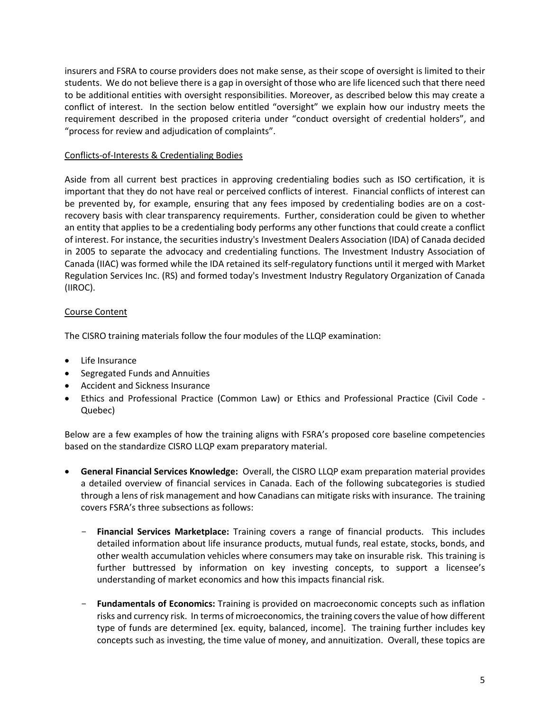insurers and FSRA to course providers does not make sense, as their scope of oversight is limited to their students. We do not believe there is a gap in oversight of those who are life licenced such that there need to be additional entities with oversight responsibilities. Moreover, as described below this may create a conflict of interest. In the section below entitled "oversight" we explain how our industry meets the requirement described in the proposed criteria under "conduct oversight of credential holders", and "process for review and adjudication of complaints".

## Conflicts-of-Interests & Credentialing Bodies

Aside from all current best practices in approving credentialing bodies such as ISO certification, it is important that they do not have real or perceived conflicts of interest. Financial conflicts of interest can be prevented by, for example, ensuring that any fees imposed by credentialing bodies are on a costrecovery basis with clear transparency requirements. Further, consideration could be given to whether an entity that applies to be a credentialing body performs any other functions that could create a conflict of interest. For instance, the securities industry's Investment Dealers Association (IDA) of Canada decided in 2005 to separate the advocacy and credentialing functions. The Investment Industry Association of Canada (IIAC) was formed while the IDA retained its self-regulatory functions until it merged with Market Regulation Services Inc. (RS) and formed today's Investment Industry Regulatory Organization of Canada (IIROC).

# Course Content

The CISRO training materials follow the four modules of the LLQP examination:

- Life Insurance
- Segregated Funds and Annuities
- Accident and Sickness Insurance
- Ethics and Professional Practice (Common Law) or Ethics and Professional Practice (Civil Code Quebec)

Below are a few examples of how the training aligns with FSRA's proposed core baseline competencies based on the standardize CISRO LLQP exam preparatory material.

- **General Financial Services Knowledge:** Overall, the CISRO LLQP exam preparation material provides a detailed overview of financial services in Canada. Each of the following subcategories is studied through a lens of risk management and how Canadians can mitigate risks with insurance. The training covers FSRA's three subsections as follows:
	- **Financial Services Marketplace:** Training covers a range of financial products. This includes detailed information about life insurance products, mutual funds, real estate, stocks, bonds, and other wealth accumulation vehicles where consumers may take on insurable risk. This training is further buttressed by information on key investing concepts, to support a licensee's understanding of market economics and how this impacts financial risk.
	- **Fundamentals of Economics:** Training is provided on macroeconomic concepts such as inflation risks and currency risk. In terms of microeconomics, the training coversthe value of how different type of funds are determined [ex. equity, balanced, income]. The training further includes key concepts such as investing, the time value of money, and annuitization. Overall, these topics are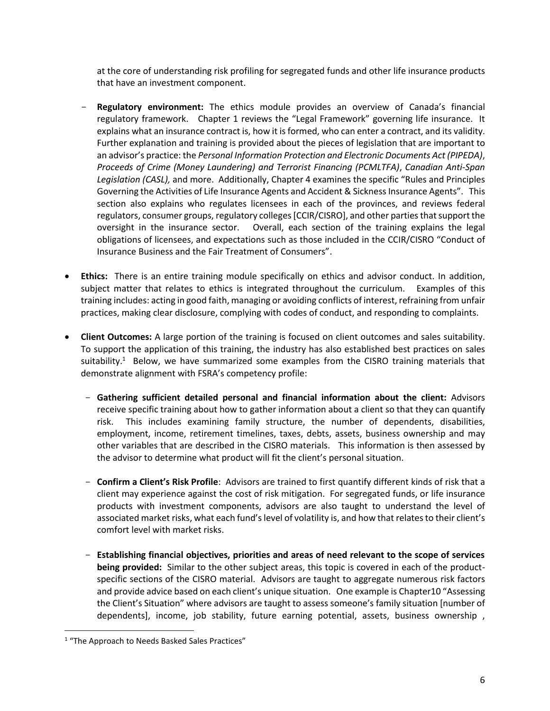at the core of understanding risk profiling for segregated funds and other life insurance products that have an investment component.

- **Regulatory environment:** The ethics module provides an overview of Canada's financial regulatory framework. Chapter 1 reviews the "Legal Framework" governing life insurance. It explains what an insurance contract is, how it is formed, who can enter a contract, and its validity. Further explanation and training is provided about the pieces of legislation that are important to an advisor's practice: the *Personal Information Protection and Electronic Documents Act (PIPEDA)*, *Proceeds of Crime (Money Laundering) and Terrorist Financing (PCMLTFA)*, *Canadian Anti-Span Legislation (CASL),* and more. Additionally, Chapter 4 examines the specific "Rules and Principles Governing the Activities of Life Insurance Agents and Accident & Sickness Insurance Agents". This section also explains who regulates licensees in each of the provinces, and reviews federal regulators, consumer groups, regulatory colleges [CCIR/CISRO], and other parties that support the oversight in the insurance sector. Overall, each section of the training explains the legal obligations of licensees, and expectations such as those included in the CCIR/CISRO "Conduct of Insurance Business and the Fair Treatment of Consumers".
- **Ethics:** There is an entire training module specifically on ethics and advisor conduct. In addition, subject matter that relates to ethics is integrated throughout the curriculum. Examples of this training includes: acting in good faith, managing or avoiding conflicts of interest, refraining from unfair practices, making clear disclosure, complying with codes of conduct, and responding to complaints.
- **Client Outcomes:** A large portion of the training is focused on client outcomes and sales suitability. To support the application of this training, the industry has also established best practices on sales suitability.<sup>1</sup> Below, we have summarized some examples from the CISRO training materials that demonstrate alignment with FSRA's competency profile:
	- **Gathering sufficient detailed personal and financial information about the client:** Advisors receive specific training about how to gather information about a client so that they can quantify risk. This includes examining family structure, the number of dependents, disabilities, employment, income, retirement timelines, taxes, debts, assets, business ownership and may other variables that are described in the CISRO materials. This information is then assessed by the advisor to determine what product will fit the client's personal situation.
	- **Confirm a Client's Risk Profile**: Advisors are trained to first quantify different kinds of risk that a client may experience against the cost of risk mitigation. For segregated funds, or life insurance products with investment components, advisors are also taught to understand the level of associated market risks, what each fund's level of volatility is, and how that relates to their client's comfort level with market risks.
	- **Establishing financial objectives, priorities and areas of need relevant to the scope of services being provided:** Similar to the other subject areas, this topic is covered in each of the productspecific sections of the CISRO material. Advisors are taught to aggregate numerous risk factors and provide advice based on each client's unique situation. One example is Chapter10 "Assessing the Client's Situation" where advisors are taught to assess someone's family situation [number of dependents], income, job stability, future earning potential, assets, business ownership ,

<sup>&</sup>lt;sup>1</sup> "The Approach to Needs Basked Sales Practices"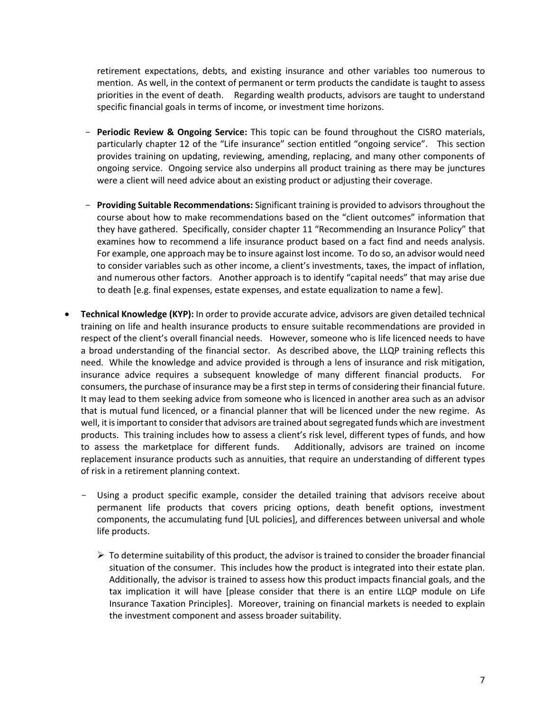retirement expectations, debts, and existing insurance and other variables too numerous to mention. As well, in the context of permanent or term products the candidate is taught to assess priorities in the event of death. Regarding wealth products, advisors are taught to understand specific financial goals in terms of income, or investment time horizons.

- Periodic Review & Ongoing Service: This topic can be found throughout the CISRO materials, particularly chapter 12 of the "Life insurance" section entitled "ongoing service". This section provides training on updating, reviewing, amending, replacing, and many other components of ongoing service. Ongoing service also underpins all product training as there may be junctures were a client will need advice about an existing product or adjusting their coverage.
- **Providing Suitable Recommendations:** Significant training is provided to advisors throughout the course about how to make recommendations based on the "client outcomes" information that they have gathered. Specifically, consider chapter 11 "Recommending an Insurance Policy" that examines how to recommend a life insurance product based on a fact find and needs analysis. For example, one approach may be to insure against lost income. To do so, an advisor would need to consider variables such as other income, a client's investments, taxes, the impact of inflation, and numerous other factors. Another approach is to identify "capital needs" that may arise due to death [e.g. final expenses, estate expenses, and estate equalization to name a few].
- **Technical Knowledge (KYP):** In order to provide accurate advice, advisors are given detailed technical training on life and health insurance products to ensure suitable recommendations are provided in respect of the client's overall financial needs. However, someone who is life licenced needs to have a broad understanding of the financial sector. As described above, the LLQP training reflects this need. While the knowledge and advice provided is through a lens of insurance and risk mitigation, insurance advice requires a subsequent knowledge of many different financial products. For consumers, the purchase of insurance may be a first step in terms of considering their financial future. It may lead to them seeking advice from someone who is licenced in another area such as an advisor that is mutual fund licenced, or a financial planner that will be licenced under the new regime. As well, it is important to consider that advisors are trained about segregated funds which are investment products. This training includes how to assess a client's risk level, different types of funds, and how to assess the marketplace for different funds. Additionally, advisors are trained on income replacement insurance products such as annuities, that require an understanding of different types of risk in a retirement planning context.
	- Using a product specific example, consider the detailed training that advisors receive about permanent life products that covers pricing options, death benefit options, investment components, the accumulating fund [UL policies], and differences between universal and whole life products.
		- $\triangleright$  To determine suitability of this product, the advisor is trained to consider the broader financial situation of the consumer. This includes how the product is integrated into their estate plan. Additionally, the advisor is trained to assess how this product impacts financial goals, and the tax implication it will have [please consider that there is an entire LLQP module on Life Insurance Taxation Principles]. Moreover, training on financial markets is needed to explain the investment component and assess broader suitability.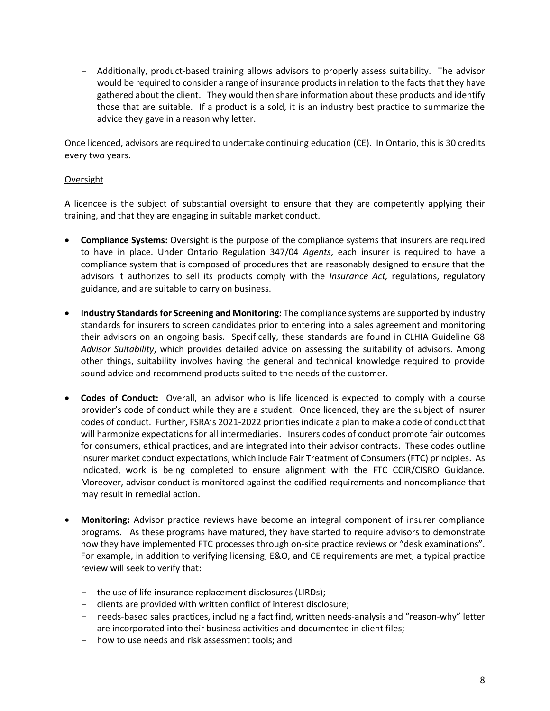- Additionally, product-based training allows advisors to properly assess suitability. The advisor would be required to consider a range of insurance products in relation to the facts that they have gathered about the client. They would then share information about these products and identify those that are suitable. If a product is a sold, it is an industry best practice to summarize the advice they gave in a reason why letter.

Once licenced, advisors are required to undertake continuing education (CE). In Ontario, this is 30 credits every two years.

## Oversight

A licencee is the subject of substantial oversight to ensure that they are competently applying their training, and that they are engaging in suitable market conduct.

- **Compliance Systems:** Oversight is the purpose of the compliance systems that insurers are required to have in place. Under Ontario Regulation 347/04 *Agents*, each insurer is required to have a compliance system that is composed of procedures that are reasonably designed to ensure that the advisors it authorizes to sell its products comply with the *Insurance Act,* regulations, regulatory guidance, and are suitable to carry on business.
- **Industry Standards for Screening and Monitoring:** The compliance systems are supported by industry standards for insurers to screen candidates prior to entering into a sales agreement and monitoring their advisors on an ongoing basis. Specifically, these standards are found in CLHIA Guideline G8 *Advisor Suitability*, which provides detailed advice on assessing the suitability of advisors. Among other things, suitability involves having the general and technical knowledge required to provide sound advice and recommend products suited to the needs of the customer.
- **Codes of Conduct:** Overall, an advisor who is life licenced is expected to comply with a course provider's code of conduct while they are a student. Once licenced, they are the subject of insurer codes of conduct. Further, FSRA's 2021-2022 priorities indicate a plan to make a code of conduct that will harmonize expectations for all intermediaries. Insurers codes of conduct promote fair outcomes for consumers, ethical practices, and are integrated into their advisor contracts. These codes outline insurer market conduct expectations, which include Fair Treatment of Consumers (FTC) principles. As indicated, work is being completed to ensure alignment with the FTC CCIR/CISRO Guidance. Moreover, advisor conduct is monitored against the codified requirements and noncompliance that may result in remedial action.
- **Monitoring:** Advisor practice reviews have become an integral component of insurer compliance programs. As these programs have matured, they have started to require advisors to demonstrate how they have implemented FTC processes through on-site practice reviews or "desk examinations". For example, in addition to verifying licensing, E&O, and CE requirements are met, a typical practice review will seek to verify that:
	- the use of life insurance replacement disclosures (LIRDs);
	- clients are provided with written conflict of interest disclosure;
	- needs-based sales practices, including a fact find, written needs-analysis and "reason-why" letter are incorporated into their business activities and documented in client files;
	- how to use needs and risk assessment tools; and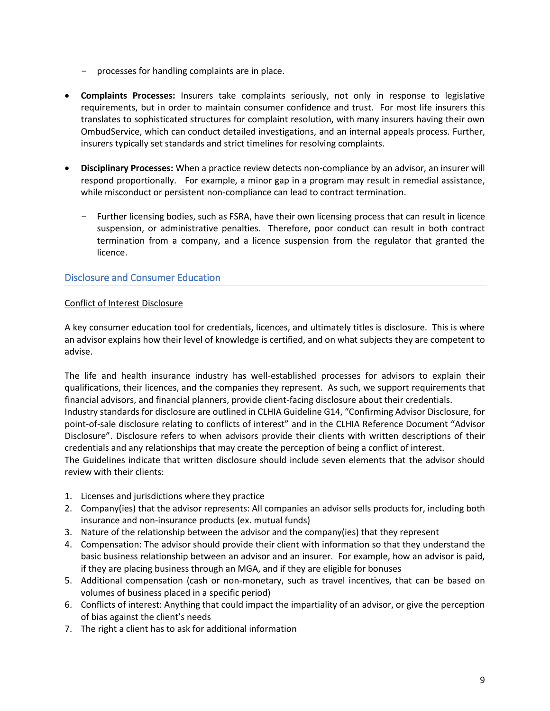- processes for handling complaints are in place.
- **Complaints Processes:** Insurers take complaints seriously, not only in response to legislative requirements, but in order to maintain consumer confidence and trust. For most life insurers this translates to sophisticated structures for complaint resolution, with many insurers having their own OmbudService, which can conduct detailed investigations, and an internal appeals process. Further, insurers typically set standards and strict timelines for resolving complaints.
- **Disciplinary Processes:** When a practice review detects non-compliance by an advisor, an insurer will respond proportionally. For example, a minor gap in a program may result in remedial assistance, while misconduct or persistent non-compliance can lead to contract termination.
	- Further licensing bodies, such as FSRA, have their own licensing process that can result in licence suspension, or administrative penalties. Therefore, poor conduct can result in both contract termination from a company, and a licence suspension from the regulator that granted the licence.

# Disclosure and Consumer Education

## Conflict of Interest Disclosure

A key consumer education tool for credentials, licences, and ultimately titles is disclosure. This is where an advisor explains how their level of knowledge is certified, and on what subjects they are competent to advise.

The life and health insurance industry has well-established processes for advisors to explain their qualifications, their licences, and the companies they represent. As such, we support requirements that financial advisors, and financial planners, provide client-facing disclosure about their credentials.

Industry standards for disclosure are outlined in CLHIA Guideline G14, "Confirming Advisor Disclosure, for point-of-sale disclosure relating to conflicts of interest" and in the CLHIA Reference Document "Advisor Disclosure". Disclosure refers to when advisors provide their clients with written descriptions of their credentials and any relationships that may create the perception of being a conflict of interest.

The Guidelines indicate that written disclosure should include seven elements that the advisor should review with their clients:

- 1. Licenses and jurisdictions where they practice
- 2. Company(ies) that the advisor represents: All companies an advisor sells products for, including both insurance and non-insurance products (ex. mutual funds)
- 3. Nature of the relationship between the advisor and the company(ies) that they represent
- 4. Compensation: The advisor should provide their client with information so that they understand the basic business relationship between an advisor and an insurer. For example, how an advisor is paid, if they are placing business through an MGA, and if they are eligible for bonuses
- 5. Additional compensation (cash or non-monetary, such as travel incentives, that can be based on volumes of business placed in a specific period)
- 6. Conflicts of interest: Anything that could impact the impartiality of an advisor, or give the perception of bias against the client's needs
- 7. The right a client has to ask for additional information